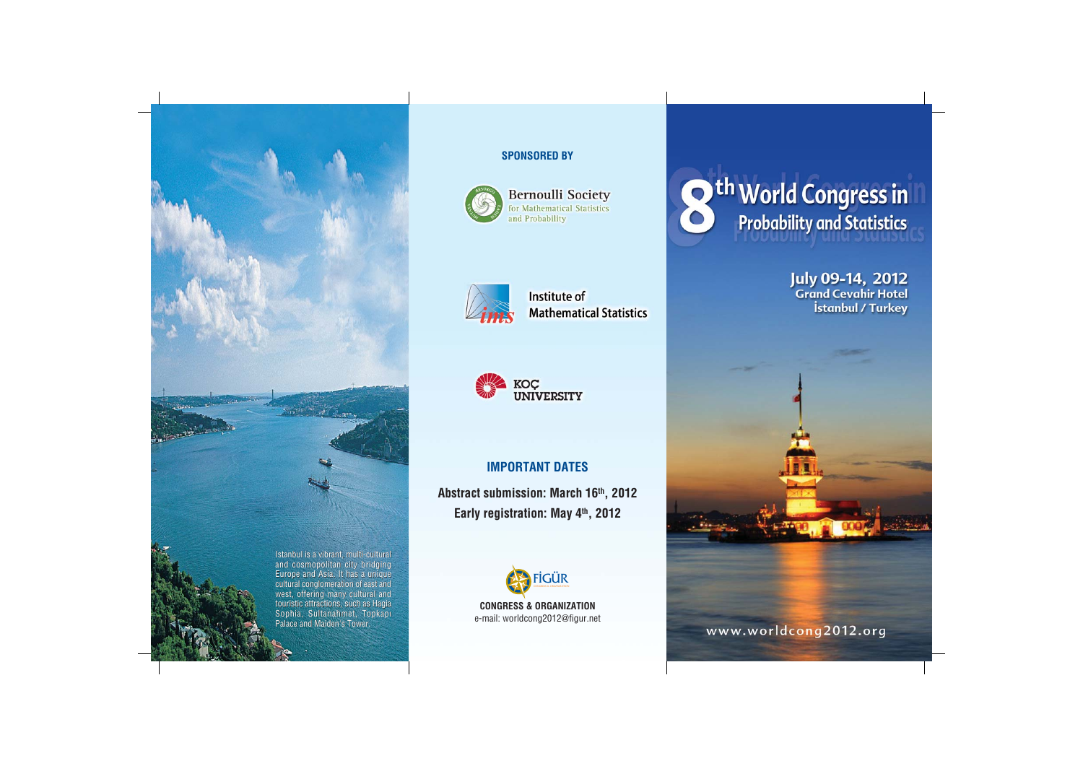

## SPONSORED BY



**Bernoulli Society** for Mathematical Statistics and Probability



Institute of **Mathematical Statistics** 



# IMPORTANT DATES

Abstract submission: March 16th, 2012 Early registration: May 4th, 2012



**O**<sup>th</sup> World Congress in

July 09-14, 2012<br>Grand Cevahir Hotel İstanbul / Turkey